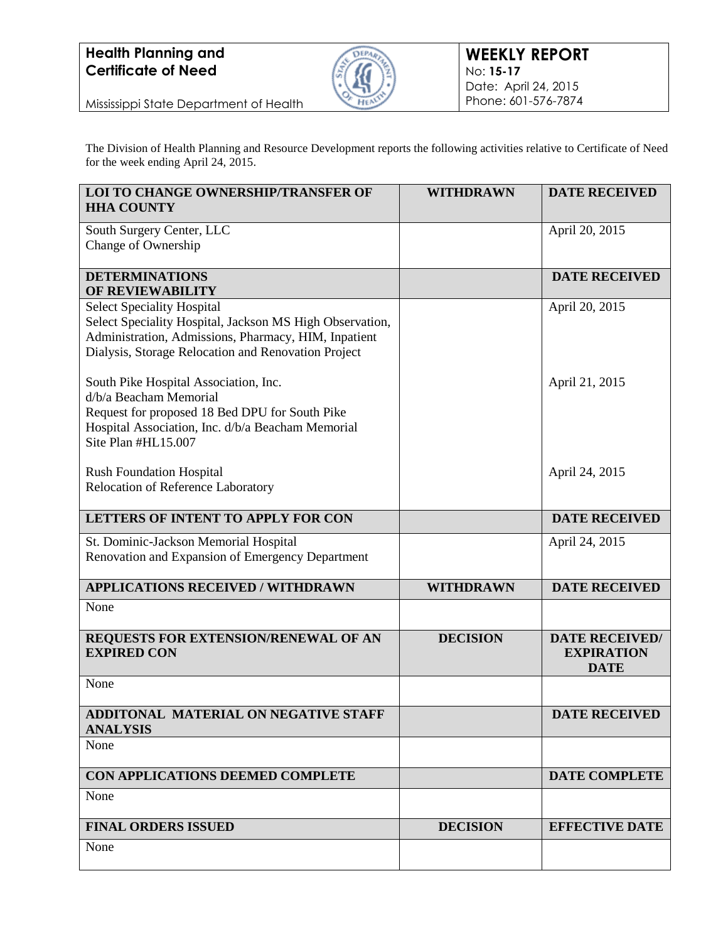

Mississippi State Department of Health

The Division of Health Planning and Resource Development reports the following activities relative to Certificate of Need for the week ending April 24, 2015.

| <b>LOI TO CHANGE OWNERSHIP/TRANSFER OF</b><br><b>HHA COUNTY</b>                                                                                                                                              | <b>WITHDRAWN</b> | <b>DATE RECEIVED</b>                                      |
|--------------------------------------------------------------------------------------------------------------------------------------------------------------------------------------------------------------|------------------|-----------------------------------------------------------|
| South Surgery Center, LLC<br>Change of Ownership                                                                                                                                                             |                  | April 20, 2015                                            |
| <b>DETERMINATIONS</b><br><b>OF REVIEWABILITY</b>                                                                                                                                                             |                  | <b>DATE RECEIVED</b>                                      |
| <b>Select Speciality Hospital</b><br>Select Speciality Hospital, Jackson MS High Observation,<br>Administration, Admissions, Pharmacy, HIM, Inpatient<br>Dialysis, Storage Relocation and Renovation Project |                  | April 20, 2015                                            |
| South Pike Hospital Association, Inc.<br>d/b/a Beacham Memorial<br>Request for proposed 18 Bed DPU for South Pike<br>Hospital Association, Inc. d/b/a Beacham Memorial<br>Site Plan #HL15.007                |                  | April 21, 2015                                            |
| <b>Rush Foundation Hospital</b><br>Relocation of Reference Laboratory                                                                                                                                        |                  | April 24, 2015                                            |
| LETTERS OF INTENT TO APPLY FOR CON                                                                                                                                                                           |                  | <b>DATE RECEIVED</b>                                      |
| St. Dominic-Jackson Memorial Hospital<br>Renovation and Expansion of Emergency Department                                                                                                                    |                  | April 24, 2015                                            |
| <b>APPLICATIONS RECEIVED / WITHDRAWN</b>                                                                                                                                                                     | <b>WITHDRAWN</b> | <b>DATE RECEIVED</b>                                      |
| None                                                                                                                                                                                                         |                  |                                                           |
| REQUESTS FOR EXTENSION/RENEWAL OF AN<br><b>EXPIRED CON</b>                                                                                                                                                   | <b>DECISION</b>  | <b>DATE RECEIVED/</b><br><b>EXPIRATION</b><br><b>DATE</b> |
| None                                                                                                                                                                                                         |                  |                                                           |
| ADDITONAL MATERIAL ON NEGATIVE STAFF<br><b>ANALYSIS</b>                                                                                                                                                      |                  | <b>DATE RECEIVED</b>                                      |
| None                                                                                                                                                                                                         |                  |                                                           |
| CON APPLICATIONS DEEMED COMPLETE                                                                                                                                                                             |                  | <b>DATE COMPLETE</b>                                      |
| None                                                                                                                                                                                                         |                  |                                                           |
| <b>FINAL ORDERS ISSUED</b>                                                                                                                                                                                   | <b>DECISION</b>  | <b>EFFECTIVE DATE</b>                                     |
| None                                                                                                                                                                                                         |                  |                                                           |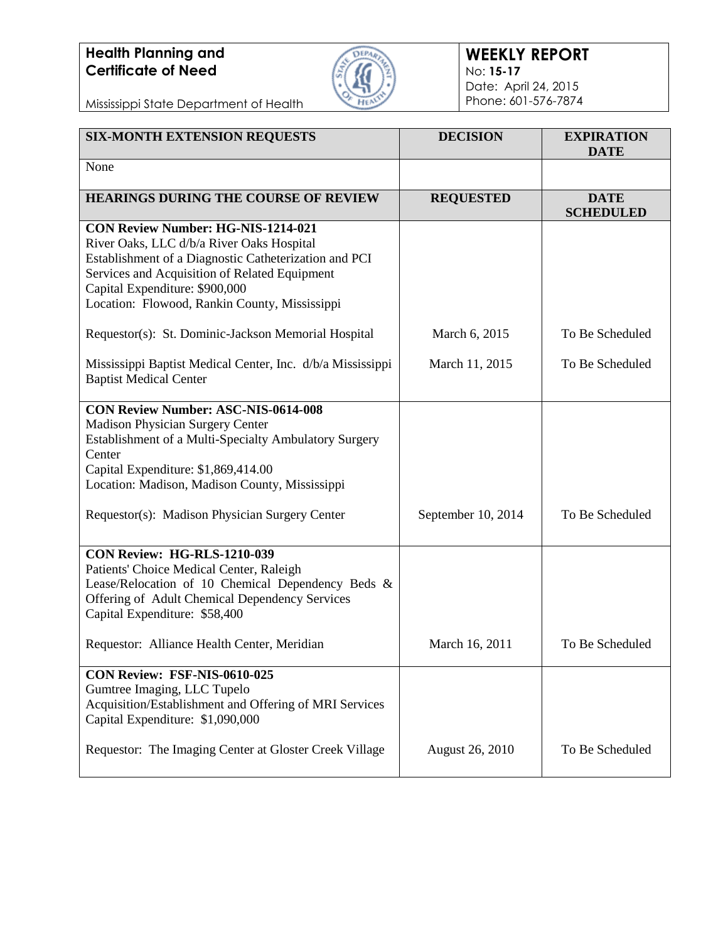

#### **WEEKLY REPORT** No: **15-17** Date: April 24, 2015 Phone: 601-576-7874

Mississippi State Department of Health

| <b>SIX-MONTH EXTENSION REQUESTS</b>                                                                                                                                                                                                                                                 | <b>DECISION</b>        | <b>EXPIRATION</b><br><b>DATE</b> |
|-------------------------------------------------------------------------------------------------------------------------------------------------------------------------------------------------------------------------------------------------------------------------------------|------------------------|----------------------------------|
| None                                                                                                                                                                                                                                                                                |                        |                                  |
| <b>HEARINGS DURING THE COURSE OF REVIEW</b>                                                                                                                                                                                                                                         | <b>REQUESTED</b>       | <b>DATE</b><br><b>SCHEDULED</b>  |
| <b>CON Review Number: HG-NIS-1214-021</b><br>River Oaks, LLC d/b/a River Oaks Hospital<br>Establishment of a Diagnostic Catheterization and PCI<br>Services and Acquisition of Related Equipment<br>Capital Expenditure: \$900,000<br>Location: Flowood, Rankin County, Mississippi |                        |                                  |
| Requestor(s): St. Dominic-Jackson Memorial Hospital                                                                                                                                                                                                                                 | March 6, 2015          | To Be Scheduled                  |
| Mississippi Baptist Medical Center, Inc. d/b/a Mississippi<br><b>Baptist Medical Center</b>                                                                                                                                                                                         | March 11, 2015         | To Be Scheduled                  |
| <b>CON Review Number: ASC-NIS-0614-008</b><br>Madison Physician Surgery Center<br>Establishment of a Multi-Specialty Ambulatory Surgery<br>Center<br>Capital Expenditure: \$1,869,414.00<br>Location: Madison, Madison County, Mississippi                                          |                        |                                  |
| Requestor(s): Madison Physician Surgery Center                                                                                                                                                                                                                                      | September 10, 2014     | To Be Scheduled                  |
| <b>CON Review: HG-RLS-1210-039</b><br>Patients' Choice Medical Center, Raleigh<br>Lease/Relocation of 10 Chemical Dependency Beds &<br>Offering of Adult Chemical Dependency Services<br>Capital Expenditure: \$58,400                                                              |                        |                                  |
| Requestor: Alliance Health Center, Meridian                                                                                                                                                                                                                                         | March 16, 2011         | To Be Scheduled                  |
| CON Review: FSF-NIS-0610-025<br>Gumtree Imaging, LLC Tupelo<br>Acquisition/Establishment and Offering of MRI Services<br>Capital Expenditure: \$1,090,000                                                                                                                           |                        |                                  |
| Requestor: The Imaging Center at Gloster Creek Village                                                                                                                                                                                                                              | <b>August 26, 2010</b> | To Be Scheduled                  |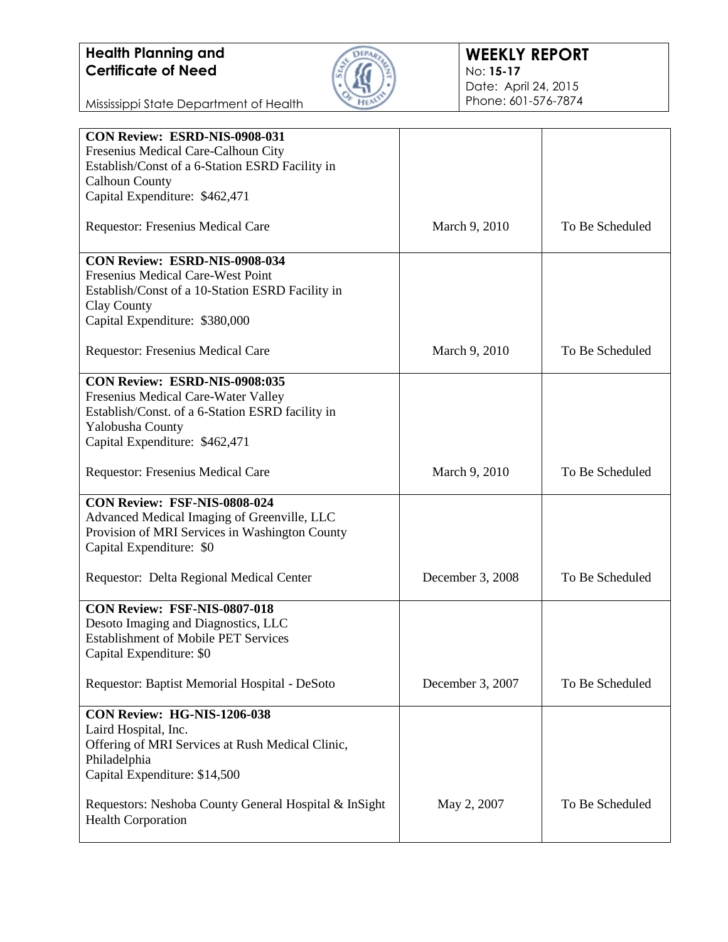

#### **WEEKLY REPORT** No: **15-17** Date: April 24, 2015 Phone: 601-576-7874

Mississippi State Department of Health

| CON Review: ESRD-NIS-0908-031                         |                  |                 |
|-------------------------------------------------------|------------------|-----------------|
| Fresenius Medical Care-Calhoun City                   |                  |                 |
| Establish/Const of a 6-Station ESRD Facility in       |                  |                 |
|                                                       |                  |                 |
| <b>Calhoun County</b>                                 |                  |                 |
| Capital Expenditure: \$462,471                        |                  |                 |
| Requestor: Fresenius Medical Care                     | March 9, 2010    | To Be Scheduled |
| CON Review: ESRD-NIS-0908-034                         |                  |                 |
| Fresenius Medical Care-West Point                     |                  |                 |
| Establish/Const of a 10-Station ESRD Facility in      |                  |                 |
| Clay County                                           |                  |                 |
| Capital Expenditure: \$380,000                        |                  |                 |
|                                                       |                  |                 |
| Requestor: Fresenius Medical Care                     | March 9, 2010    | To Be Scheduled |
| CON Review: ESRD-NIS-0908:035                         |                  |                 |
| Fresenius Medical Care-Water Valley                   |                  |                 |
| Establish/Const. of a 6-Station ESRD facility in      |                  |                 |
| Yalobusha County                                      |                  |                 |
| Capital Expenditure: \$462,471                        |                  |                 |
|                                                       |                  |                 |
| Requestor: Fresenius Medical Care                     | March 9, 2010    | To Be Scheduled |
| CON Review: FSF-NIS-0808-024                          |                  |                 |
| Advanced Medical Imaging of Greenville, LLC           |                  |                 |
| Provision of MRI Services in Washington County        |                  |                 |
| Capital Expenditure: \$0                              |                  |                 |
|                                                       |                  |                 |
| Requestor: Delta Regional Medical Center              | December 3, 2008 | To Be Scheduled |
| CON Review: FSF-NIS-0807-018                          |                  |                 |
| Desoto Imaging and Diagnostics, LLC                   |                  |                 |
| <b>Establishment of Mobile PET Services</b>           |                  |                 |
| Capital Expenditure: \$0                              |                  |                 |
|                                                       |                  |                 |
| Requestor: Baptist Memorial Hospital - DeSoto         | December 3, 2007 | To Be Scheduled |
| CON Review: HG-NIS-1206-038                           |                  |                 |
| Laird Hospital, Inc.                                  |                  |                 |
| Offering of MRI Services at Rush Medical Clinic,      |                  |                 |
| Philadelphia                                          |                  |                 |
| Capital Expenditure: \$14,500                         |                  |                 |
|                                                       |                  |                 |
|                                                       | May 2, 2007      | To Be Scheduled |
| Requestors: Neshoba County General Hospital & InSight |                  |                 |
| <b>Health Corporation</b>                             |                  |                 |
|                                                       |                  |                 |